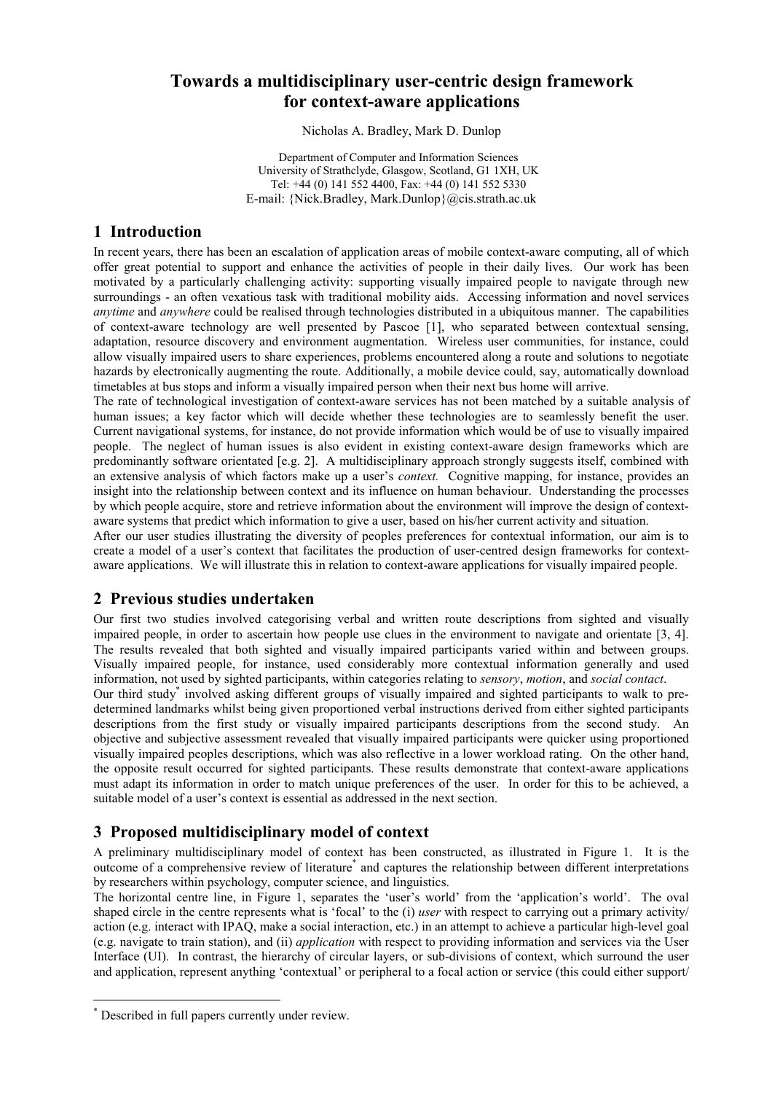# **Towards a multidisciplinary user-centric design framework for context-aware applications**

Nicholas A. Bradley, Mark D. Dunlop

Department of Computer and Information Sciences University of Strathclyde, Glasgow, Scotland, G1 1XH, UK Tel: +44 (0) 141 552 4400, Fax: +44 (0) 141 552 5330 E-mail: {Nick.Bradley, Mark.Dunlop}@cis.strath.ac.uk

### **1 Introduction**

In recent years, there has been an escalation of application areas of mobile context-aware computing, all of which offer great potential to support and enhance the activities of people in their daily lives. Our work has been motivated by a particularly challenging activity: supporting visually impaired people to navigate through new surroundings - an often vexatious task with traditional mobility aids. Accessing information and novel services *anytime* and *anywhere* could be realised through technologies distributed in a ubiquitous manner. The capabilities of context-aware technology are well presented by Pascoe [1], who separated between contextual sensing, adaptation, resource discovery and environment augmentation. Wireless user communities, for instance, could allow visually impaired users to share experiences, problems encountered along a route and solutions to negotiate hazards by electronically augmenting the route. Additionally, a mobile device could, say, automatically download timetables at bus stops and inform a visually impaired person when their next bus home will arrive.

The rate of technological investigation of context-aware services has not been matched by a suitable analysis of human issues; a key factor which will decide whether these technologies are to seamlessly benefit the user. Current navigational systems, for instance, do not provide information which would be of use to visually impaired people. The neglect of human issues is also evident in existing context-aware design frameworks which are predominantly software orientated [e.g. 2]. A multidisciplinary approach strongly suggests itself, combined with an extensive analysis of which factors make up a user's *context.* Cognitive mapping, for instance, provides an insight into the relationship between context and its influence on human behaviour. Understanding the processes by which people acquire, store and retrieve information about the environment will improve the design of contextaware systems that predict which information to give a user, based on his/her current activity and situation.

After our user studies illustrating the diversity of peoples preferences for contextual information, our aim is to create a model of a user's context that facilitates the production of user-centred design frameworks for contextaware applications. We will illustrate this in relation to context-aware applications for visually impaired people.

## **2 Previous studies undertaken**

Our first two studies involved categorising verbal and written route descriptions from sighted and visually impaired people, in order to ascertain how people use clues in the environment to navigate and orientate [3, 4]. The results revealed that both sighted and visually impaired participants varied within and between groups. Visually impaired people, for instance, used considerably more contextual information generally and used information, not used by sighted participants, within categories relating to *sensory*, *motion*, and *social contact*.

Our third study<sup>\*</sup> involved asking different groups of visually impaired and sighted participants to walk to predetermined landmarks whilst being given proportioned verbal instructions derived from either sighted participants descriptions from the first study or visually impaired participants descriptions from the second study. An objective and subjective assessment revealed that visually impaired participants were quicker using proportioned visually impaired peoples descriptions, which was also reflective in a lower workload rating. On the other hand, the opposite result occurred for sighted participants. These results demonstrate that context-aware applications must adapt its information in order to match unique preferences of the user. In order for this to be achieved, a suitable model of a user's context is essential as addressed in the next section.

## **3 Proposed multidisciplinary model of context**

A preliminary multidisciplinary model of context has been constructed, as illustrated in Figure 1. It is the outcome of a comprehensive review of literature<sup>\*</sup> and captures the relationship between different interpretations by researchers within psychology, computer science, and linguistics.

The horizontal centre line, in Figure 1, separates the 'user's world' from the 'application's world'. The oval shaped circle in the centre represents what is 'focal' to the (i) *user* with respect to carrying out a primary activity/ action (e.g. interact with IPAQ, make a social interaction, etc.) in an attempt to achieve a particular high-level goal (e.g. navigate to train station), and (ii) *application* with respect to providing information and services via the User Interface (UI). In contrast, the hierarchy of circular layers, or sub-divisions of context, which surround the user and application, represent anything 'contextual' or peripheral to a focal action or service (this could either support/

 $\overline{a}$ 

<sup>\*</sup> Described in full papers currently under review.